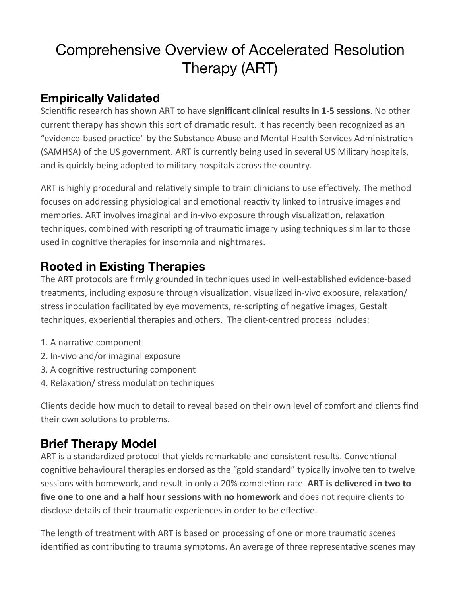# Comprehensive Overview of Accelerated Resolution Therapy (ART)

# **Empirically Validated**

Scientific research has shown ART to have **significant clinical results in 1-5 sessions**. No other current therapy has shown this sort of dramatic result. It has recently been recognized as an "evidence-based practice" by the Substance Abuse and Mental Health Services Administration (SAMHSA) of the US government. ART is currently being used in several US Military hospitals, and is quickly being adopted to military hospitals across the country.

ART is highly procedural and relatively simple to train clinicians to use effectively. The method focuses on addressing physiological and emotional reactivity linked to intrusive images and memories. ART involves imaginal and in-vivo exposure through visualization, relaxation techniques, combined with rescripting of traumatic imagery using techniques similar to those used in cognitive therapies for insomnia and nightmares.

# **Rooted in Existing Therapies**

The ART protocols are firmly grounded in techniques used in well-established evidence-based treatments, including exposure through visualization, visualized in-vivo exposure, relaxation/ stress inoculation facilitated by eye movements, re-scripting of negative images, Gestalt techniques, experiential therapies and others. The client-centred process includes:

- 1. A narrative component
- 2. In-vivo and/or imaginal exposure
- 3. A cognitive restructuring component
- 4. Relaxation/ stress modulation techniques

Clients decide how much to detail to reveal based on their own level of comfort and clients find their own solutions to problems.

# **Brief Therapy Model**

ART is a standardized protocol that yields remarkable and consistent results. Conventional cognitive behavioural therapies endorsed as the "gold standard" typically involve ten to twelve sessions with homework, and result in only a 20% completion rate. **ART is delivered in two to** five one to one and a half hour sessions with no homework and does not require clients to disclose details of their traumatic experiences in order to be effective.

The length of treatment with ART is based on processing of one or more traumatic scenes identified as contributing to trauma symptoms. An average of three representative scenes may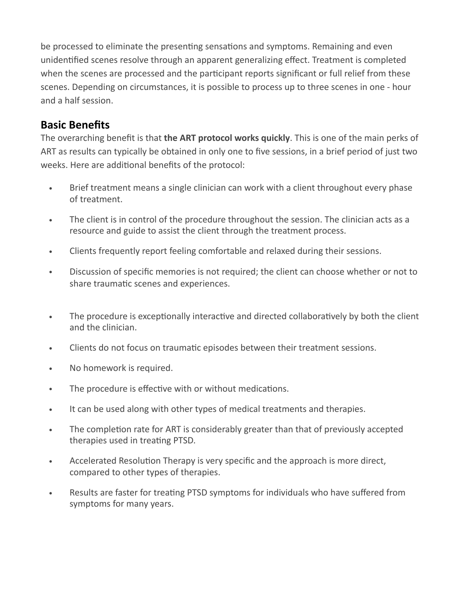be processed to eliminate the presenting sensations and symptoms. Remaining and even unidentified scenes resolve through an apparent generalizing effect. Treatment is completed when the scenes are processed and the participant reports significant or full relief from these scenes. Depending on circumstances, it is possible to process up to three scenes in one - hour and a half session.

#### **Basic Benefits**

The overarching benefit is that **the ART protocol works quickly**. This is one of the main perks of ART as results can typically be obtained in only one to five sessions, in a brief period of just two weeks. Here are additional benefits of the protocol:

- Brief treatment means a single clinician can work with a client throughout every phase of treatment.
- The client is in control of the procedure throughout the session. The clinician acts as a resource and guide to assist the client through the treatment process.
- Clients frequently report feeling comfortable and relaxed during their sessions.
- Discussion of specific memories is not required; the client can choose whether or not to share traumatic scenes and experiences.
- The procedure is exceptionally interactive and directed collaboratively by both the client and the clinician.
- Clients do not focus on traumatic episodes between their treatment sessions.
- No homework is required.
- The procedure is effective with or without medications.
- It can be used along with other types of medical treatments and therapies.
- The completion rate for ART is considerably greater than that of previously accepted therapies used in treating PTSD.
- Accelerated Resolution Therapy is very specific and the approach is more direct, compared to other types of therapies.
- Results are faster for treating PTSD symptoms for individuals who have suffered from symptoms for many years.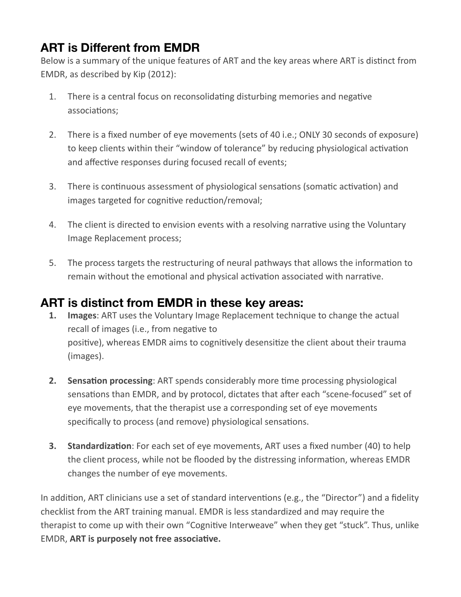# **ART is Different from EMDR**

Below is a summary of the unique features of ART and the key areas where ART is distinct from EMDR, as described by Kip (2012):

- 1. There is a central focus on reconsolidating disturbing memories and negative associations;
- 2. There is a fixed number of eye movements (sets of 40 i.e.; ONLY 30 seconds of exposure) to keep clients within their "window of tolerance" by reducing physiological activation and affective responses during focused recall of events;
- 3. There is continuous assessment of physiological sensations (somatic activation) and images targeted for cognitive reduction/removal;
- 4. The client is directed to envision events with a resolving narrative using the Voluntary Image Replacement process;
- 5. The process targets the restructuring of neural pathways that allows the information to remain without the emotional and physical activation associated with narrative.

#### **ART is distinct from EMDR in these key areas:**

- **1. Images**: ART uses the Voluntary Image Replacement technique to change the actual recall of images (i.e., from negative to positive), whereas EMDR aims to cognitively desensitize the client about their trauma (images).
- **2.** Sensation processing: ART spends considerably more time processing physiological sensations than EMDR, and by protocol, dictates that after each "scene-focused" set of eye movements, that the therapist use a corresponding set of eye movements specifically to process (and remove) physiological sensations.
- **3. Standardization**: For each set of eye movements, ART uses a fixed number (40) to help the client process, while not be flooded by the distressing information, whereas EMDR changes the number of eye movements.

In addition, ART clinicians use a set of standard interventions (e.g., the "Director") and a fidelity checklist from the ART training manual. EMDR is less standardized and may require the therapist to come up with their own "Cognitive Interweave" when they get "stuck". Thus, unlike **EMDR, ART is purposely not free associative.**